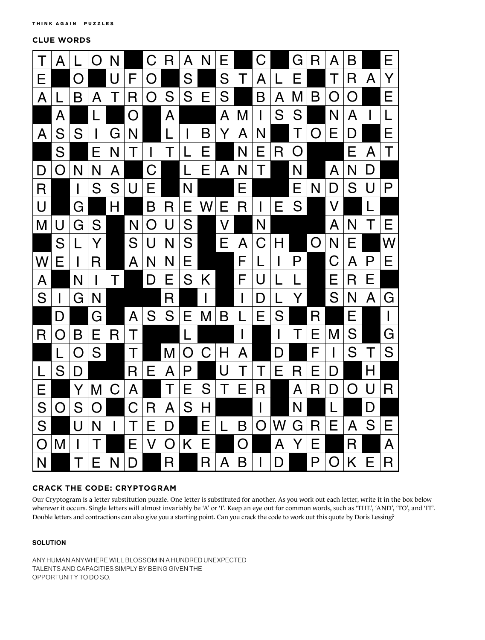**CLUE WORDS**



## **CRACK THE CODE: CRYPTOGRAM**

Our Cryptogram is a letter substitution puzzle. One letter is substituted for another. As you work out each letter, write it in the box below wherever it occurs. Single letters will almost invariably be 'A' or 'I'. Keep an eye out for common words, such as 'THE', 'AND', 'TO', and 'IT'. Double letters and contractions can also give you a starting point. Can you crack the code to work out this quote by Doris Lessing?

## **SOLUTION**

ANY HUMAN ANYWHERE WILL BLOSSOM IN A HUNDRED UNEXPECTED TALENTS AND CAPACITIES SIMPLY BY BEING GIVEN THE OPPORTUNITY TO DO SO.